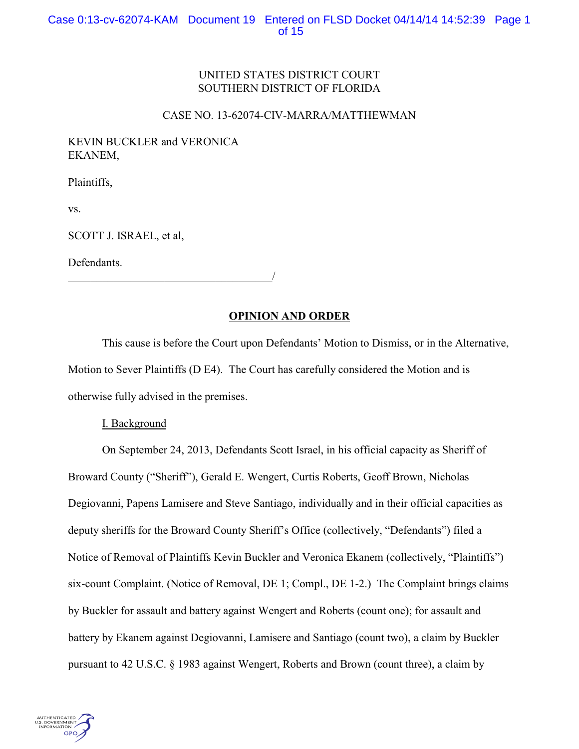# UNITED STATES DISTRICT COURT SOUTHERN DISTRICT OF FLORIDA

# CASE NO. 13-62074-CIV-MARRA/MATTHEWMAN

# KEVIN BUCKLER and VERONICA EKANEM,

Plaintiffs,

vs.

SCOTT J. ISRAEL, et al,

Defendants.

\_\_\_\_\_\_\_\_\_\_\_\_\_\_\_\_\_\_\_\_\_\_\_\_\_\_\_\_\_\_\_\_\_\_\_\_/

# **OPINION AND ORDER**

This cause is before the Court upon Defendants' Motion to Dismiss, or in the Alternative, Motion to Sever Plaintiffs (D E4). The Court has carefully considered the Motion and is otherwise fully advised in the premises.

# I. Background

On September 24, 2013, Defendants Scott Israel, in his official capacity as Sheriff of Broward County ("Sheriff"), Gerald E. Wengert, Curtis Roberts, Geoff Brown, Nicholas Degiovanni, Papens Lamisere and Steve Santiago, individually and in their official capacities as deputy sheriffs for the Broward County Sheriff's Office (collectively, "Defendants") filed a Notice of Removal of Plaintiffs Kevin Buckler and Veronica Ekanem (collectively, "Plaintiffs") six-count Complaint. (Notice of Removal, DE 1; Compl., DE 1-2.) The Complaint brings claims by Buckler for assault and battery against Wengert and Roberts (count one); for assault and battery by Ekanem against Degiovanni, Lamisere and Santiago (count two), a claim by Buckler pursuant to 42 U.S.C. § 1983 against Wengert, Roberts and Brown (count three), a claim by

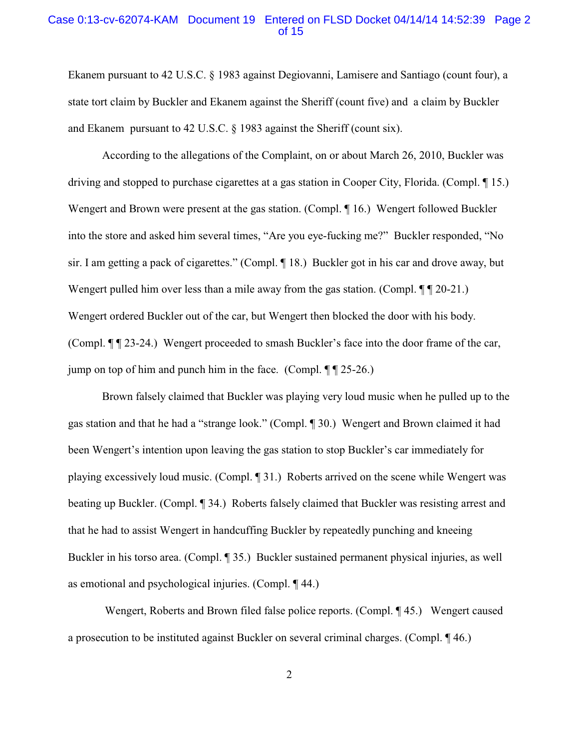# Case 0:13-cv-62074-KAM Document 19 Entered on FLSD Docket 04/14/14 14:52:39 Page 2 of 15

Ekanem pursuant to 42 U.S.C. § 1983 against Degiovanni, Lamisere and Santiago (count four), a state tort claim by Buckler and Ekanem against the Sheriff (count five) and a claim by Buckler and Ekanem pursuant to 42 U.S.C. § 1983 against the Sheriff (count six).

According to the allegations of the Complaint, on or about March 26, 2010, Buckler was driving and stopped to purchase cigarettes at a gas station in Cooper City, Florida. (Compl. ¶ 15.) Wengert and Brown were present at the gas station. (Compl. ¶ 16.) Wengert followed Buckler into the store and asked him several times, "Are you eye-fucking me?" Buckler responded, "No sir. I am getting a pack of cigarettes." (Compl. ¶ 18.) Buckler got in his car and drove away, but Wengert pulled him over less than a mile away from the gas station. (Compl.  $\P$   $\P$  20-21.) Wengert ordered Buckler out of the car, but Wengert then blocked the door with his body. (Compl. ¶ ¶ 23-24.) Wengert proceeded to smash Buckler's face into the door frame of the car, jump on top of him and punch him in the face. (Compl.  $\P$   $\P$  25-26.)

Brown falsely claimed that Buckler was playing very loud music when he pulled up to the gas station and that he had a "strange look." (Compl. ¶ 30.) Wengert and Brown claimed it had been Wengert's intention upon leaving the gas station to stop Buckler's car immediately for playing excessively loud music. (Compl. ¶ 31.) Roberts arrived on the scene while Wengert was beating up Buckler. (Compl. ¶ 34.) Roberts falsely claimed that Buckler was resisting arrest and that he had to assist Wengert in handcuffing Buckler by repeatedly punching and kneeing Buckler in his torso area. (Compl. ¶ 35.) Buckler sustained permanent physical injuries, as well as emotional and psychological injuries. (Compl. ¶ 44.)

 Wengert, Roberts and Brown filed false police reports. (Compl. ¶ 45.) Wengert caused a prosecution to be instituted against Buckler on several criminal charges. (Compl. ¶ 46.)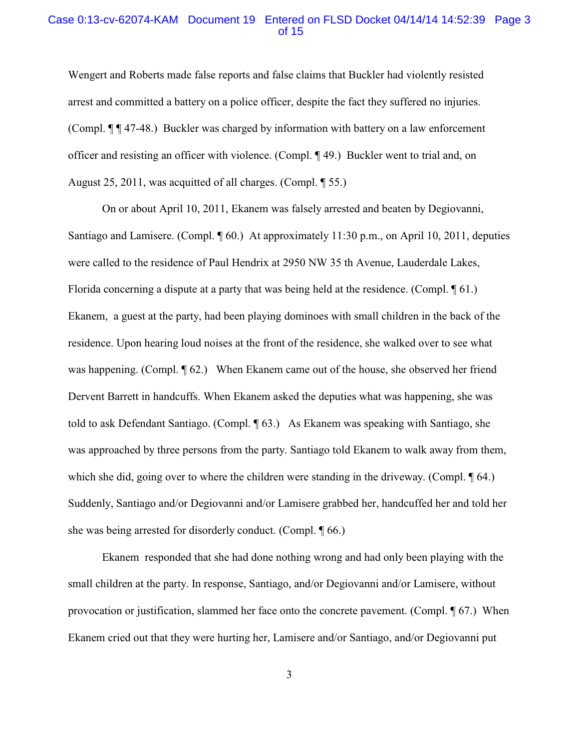# Case 0:13-cv-62074-KAM Document 19 Entered on FLSD Docket 04/14/14 14:52:39 Page 3 of 15

Wengert and Roberts made false reports and false claims that Buckler had violently resisted arrest and committed a battery on a police officer, despite the fact they suffered no injuries. (Compl. ¶ ¶ 47-48.) Buckler was charged by information with battery on a law enforcement officer and resisting an officer with violence. (Compl. ¶ 49.) Buckler went to trial and, on August 25, 2011, was acquitted of all charges. (Compl. ¶ 55.)

On or about April 10, 2011, Ekanem was falsely arrested and beaten by Degiovanni, Santiago and Lamisere. (Compl. ¶ 60.) At approximately 11:30 p.m., on April 10, 2011, deputies were called to the residence of Paul Hendrix at 2950 NW 35 th Avenue, Lauderdale Lakes, Florida concerning a dispute at a party that was being held at the residence. (Compl. ¶ 61.) Ekanem, a guest at the party, had been playing dominoes with small children in the back of the residence. Upon hearing loud noises at the front of the residence, she walked over to see what was happening. (Compl.  $\P$  62.) When Ekanem came out of the house, she observed her friend Dervent Barrett in handcuffs. When Ekanem asked the deputies what was happening, she was told to ask Defendant Santiago. (Compl. ¶ 63.) As Ekanem was speaking with Santiago, she was approached by three persons from the party. Santiago told Ekanem to walk away from them, which she did, going over to where the children were standing in the driveway. (Compl.  $\sqrt{[64]}$  64.) Suddenly, Santiago and/or Degiovanni and/or Lamisere grabbed her, handcuffed her and told her she was being arrested for disorderly conduct. (Compl. ¶ 66.)

Ekanem responded that she had done nothing wrong and had only been playing with the small children at the party. In response, Santiago, and/or Degiovanni and/or Lamisere, without provocation or justification, slammed her face onto the concrete pavement. (Compl. ¶ 67.) When Ekanem cried out that they were hurting her, Lamisere and/or Santiago, and/or Degiovanni put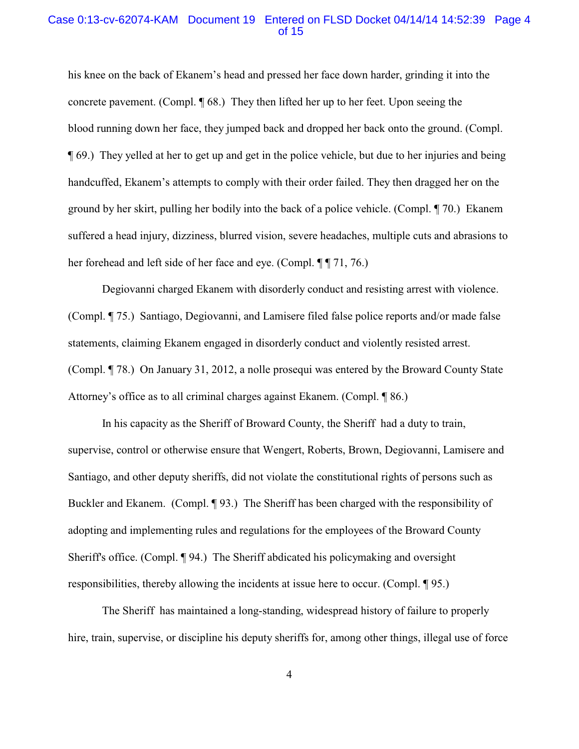# Case 0:13-cv-62074-KAM Document 19 Entered on FLSD Docket 04/14/14 14:52:39 Page 4 of 15

his knee on the back of Ekanem's head and pressed her face down harder, grinding it into the concrete pavement. (Compl. ¶ 68.) They then lifted her up to her feet. Upon seeing the blood running down her face, they jumped back and dropped her back onto the ground. (Compl. ¶ 69.) They yelled at her to get up and get in the police vehicle, but due to her injuries and being handcuffed, Ekanem's attempts to comply with their order failed. They then dragged her on the ground by her skirt, pulling her bodily into the back of a police vehicle. (Compl. ¶ 70.) Ekanem suffered a head injury, dizziness, blurred vision, severe headaches, multiple cuts and abrasions to her forehead and left side of her face and eye. (Compl. ¶ ¶ 71, 76.)

Degiovanni charged Ekanem with disorderly conduct and resisting arrest with violence. (Compl. ¶ 75.) Santiago, Degiovanni, and Lamisere filed false police reports and/or made false statements, claiming Ekanem engaged in disorderly conduct and violently resisted arrest. (Compl. ¶ 78.) On January 31, 2012, a nolle prosequi was entered by the Broward County State Attorney's office as to all criminal charges against Ekanem. (Compl. ¶ 86.)

In his capacity as the Sheriff of Broward County, the Sheriff had a duty to train, supervise, control or otherwise ensure that Wengert, Roberts, Brown, Degiovanni, Lamisere and Santiago, and other deputy sheriffs, did not violate the constitutional rights of persons such as Buckler and Ekanem. (Compl. ¶ 93.) The Sheriff has been charged with the responsibility of adopting and implementing rules and regulations for the employees of the Broward County Sheriff's office. (Compl. ¶ 94.) The Sheriff abdicated his policymaking and oversight responsibilities, thereby allowing the incidents at issue here to occur. (Compl. ¶ 95.)

The Sheriff has maintained a long-standing, widespread history of failure to properly hire, train, supervise, or discipline his deputy sheriffs for, among other things, illegal use of force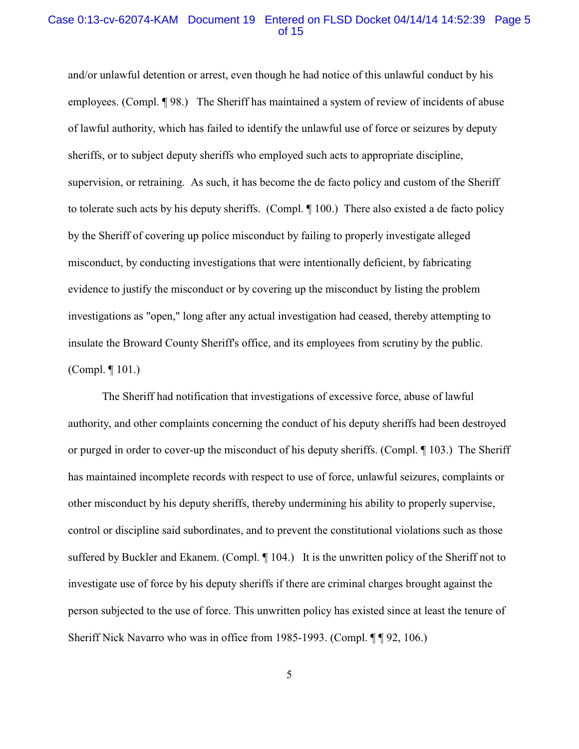# Case 0:13-cv-62074-KAM Document 19 Entered on FLSD Docket 04/14/14 14:52:39 Page 5 of 15

and/or unlawful detention or arrest, even though he had notice of this unlawful conduct by his employees. (Compl. ¶ 98.) The Sheriff has maintained a system of review of incidents of abuse of lawful authority, which has failed to identify the unlawful use of force or seizures by deputy sheriffs, or to subject deputy sheriffs who employed such acts to appropriate discipline, supervision, or retraining. As such, it has become the de facto policy and custom of the Sheriff to tolerate such acts by his deputy sheriffs. (Compl. ¶ 100.) There also existed a de facto policy by the Sheriff of covering up police misconduct by failing to properly investigate alleged misconduct, by conducting investigations that were intentionally deficient, by fabricating evidence to justify the misconduct or by covering up the misconduct by listing the problem investigations as "open," long after any actual investigation had ceased, thereby attempting to insulate the Broward County Sheriff's office, and its employees from scrutiny by the public. (Compl. ¶ 101.)

The Sheriff had notification that investigations of excessive force, abuse of lawful authority, and other complaints concerning the conduct of his deputy sheriffs had been destroyed or purged in order to cover-up the misconduct of his deputy sheriffs. (Compl. ¶ 103.) The Sheriff has maintained incomplete records with respect to use of force, unlawful seizures, complaints or other misconduct by his deputy sheriffs, thereby undermining his ability to properly supervise, control or discipline said subordinates, and to prevent the constitutional violations such as those suffered by Buckler and Ekanem. (Compl.  $\P$  104.) It is the unwritten policy of the Sheriff not to investigate use of force by his deputy sheriffs if there are criminal charges brought against the person subjected to the use of force. This unwritten policy has existed since at least the tenure of Sheriff Nick Navarro who was in office from 1985-1993. (Compl. ¶ ¶ 92, 106.)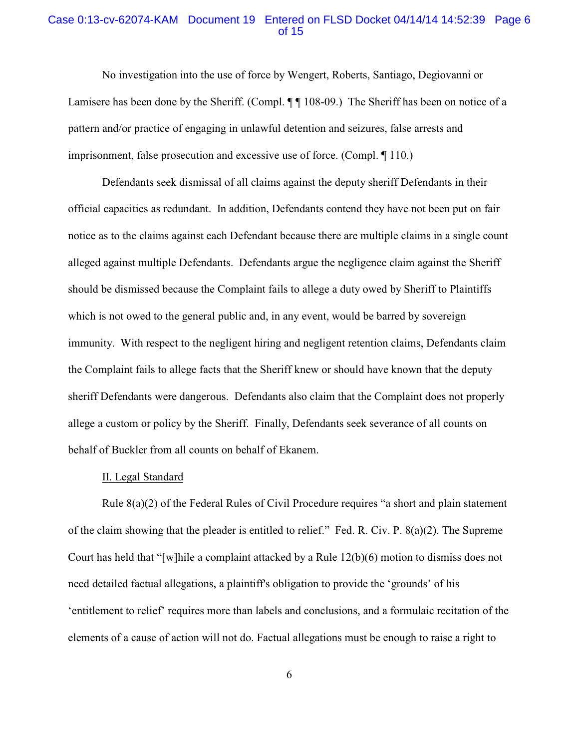# Case 0:13-cv-62074-KAM Document 19 Entered on FLSD Docket 04/14/14 14:52:39 Page 6 of 15

No investigation into the use of force by Wengert, Roberts, Santiago, Degiovanni or Lamisere has been done by the Sheriff. (Compl.  $\P$  108-09.) The Sheriff has been on notice of a pattern and/or practice of engaging in unlawful detention and seizures, false arrests and imprisonment, false prosecution and excessive use of force. (Compl. ¶ 110.)

Defendants seek dismissal of all claims against the deputy sheriff Defendants in their official capacities as redundant. In addition, Defendants contend they have not been put on fair notice as to the claims against each Defendant because there are multiple claims in a single count alleged against multiple Defendants. Defendants argue the negligence claim against the Sheriff should be dismissed because the Complaint fails to allege a duty owed by Sheriff to Plaintiffs which is not owed to the general public and, in any event, would be barred by sovereign immunity. With respect to the negligent hiring and negligent retention claims, Defendants claim the Complaint fails to allege facts that the Sheriff knew or should have known that the deputy sheriff Defendants were dangerous. Defendants also claim that the Complaint does not properly allege a custom or policy by the Sheriff. Finally, Defendants seek severance of all counts on behalf of Buckler from all counts on behalf of Ekanem.

#### II. Legal Standard

Rule 8(a)(2) of the Federal Rules of Civil Procedure requires "a short and plain statement of the claim showing that the pleader is entitled to relief." Fed. R. Civ. P. 8(a)(2). The Supreme Court has held that "[w]hile a complaint attacked by a Rule 12(b)(6) motion to dismiss does not need detailed factual allegations, a plaintiff's obligation to provide the 'grounds' of his 'entitlement to relief' requires more than labels and conclusions, and a formulaic recitation of the elements of a cause of action will not do. Factual allegations must be enough to raise a right to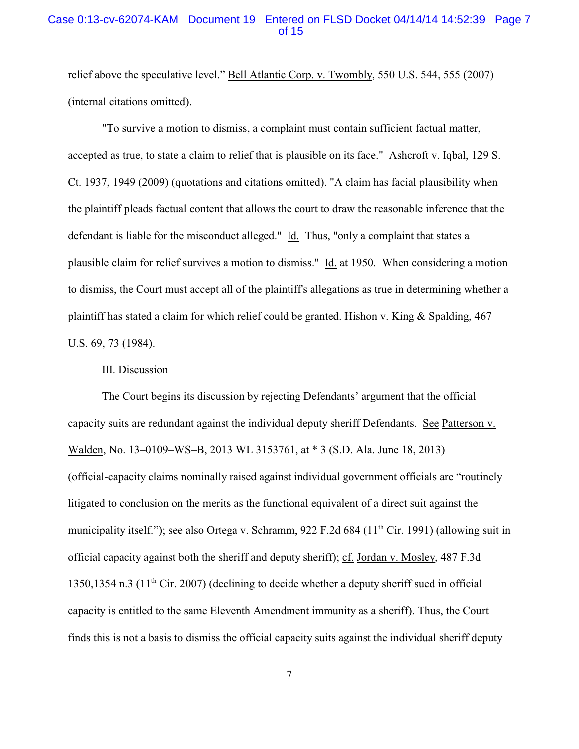# Case 0:13-cv-62074-KAM Document 19 Entered on FLSD Docket 04/14/14 14:52:39 Page 7 of 15

relief above the speculative level." Bell Atlantic Corp. v. Twombly, 550 U.S. 544, 555 (2007) (internal citations omitted).

"To survive a motion to dismiss, a complaint must contain sufficient factual matter, accepted as true, to state a claim to relief that is plausible on its face." Ashcroft v. Iqbal, 129 S. Ct. 1937, 1949 (2009) (quotations and citations omitted). "A claim has facial plausibility when the plaintiff pleads factual content that allows the court to draw the reasonable inference that the defendant is liable for the misconduct alleged." Id. Thus, "only a complaint that states a plausible claim for relief survives a motion to dismiss." Id. at 1950. When considering a motion to dismiss, the Court must accept all of the plaintiff's allegations as true in determining whether a plaintiff has stated a claim for which relief could be granted. Hishon v. King & Spalding, 467 U.S. 69, 73 (1984).

#### III. Discussion

The Court begins its discussion by rejecting Defendants' argument that the official capacity suits are redundant against the individual deputy sheriff Defendants. See Patterson v. Walden, No. 13–0109–WS–B, 2013 WL 3153761, at \* 3 (S.D. Ala. June 18, 2013) (official-capacity claims nominally raised against individual government officials are "routinely litigated to conclusion on the merits as the functional equivalent of a direct suit against the municipality itself."); <u>see also Ortega v</u>. Schramm, 922 F.2d 684 (11<sup>th</sup> Cir. 1991) (allowing suit in official capacity against both the sheriff and deputy sheriff); cf. Jordan v. Mosley, 487 F.3d 1350,1354 n.3 (11<sup>th</sup> Cir. 2007) (declining to decide whether a deputy sheriff sued in official capacity is entitled to the same Eleventh Amendment immunity as a sheriff). Thus, the Court finds this is not a basis to dismiss the official capacity suits against the individual sheriff deputy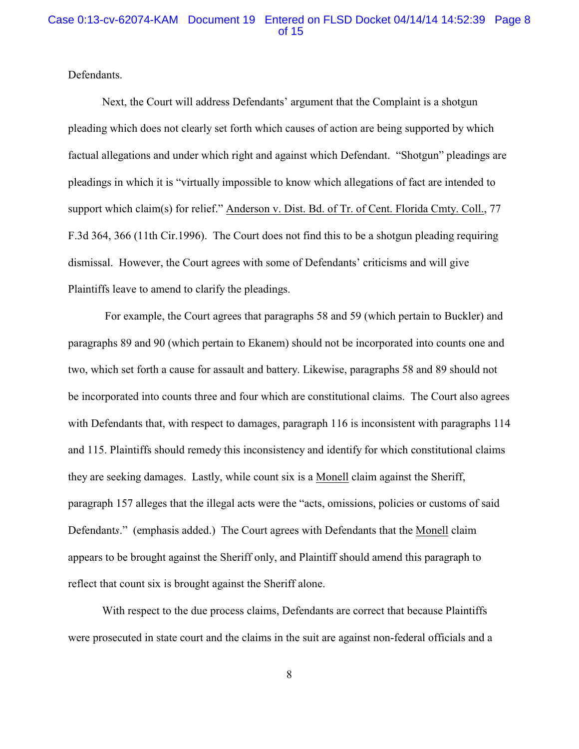# Case 0:13-cv-62074-KAM Document 19 Entered on FLSD Docket 04/14/14 14:52:39 Page 8 of 15

Defendants.

Next, the Court will address Defendants' argument that the Complaint is a shotgun pleading which does not clearly set forth which causes of action are being supported by which factual allegations and under which right and against which Defendant. "Shotgun" pleadings are pleadings in which it is "virtually impossible to know which allegations of fact are intended to support which claim(s) for relief." Anderson v. Dist. Bd. of Tr. of Cent. Florida Cmty. Coll., 77 F.3d 364, 366 (11th Cir.1996). The Court does not find this to be a shotgun pleading requiring dismissal. However, the Court agrees with some of Defendants' criticisms and will give Plaintiffs leave to amend to clarify the pleadings.

 For example, the Court agrees that paragraphs 58 and 59 (which pertain to Buckler) and paragraphs 89 and 90 (which pertain to Ekanem) should not be incorporated into counts one and two, which set forth a cause for assault and battery. Likewise, paragraphs 58 and 89 should not be incorporated into counts three and four which are constitutional claims. The Court also agrees with Defendants that, with respect to damages, paragraph 116 is inconsistent with paragraphs 114 and 115. Plaintiffs should remedy this inconsistency and identify for which constitutional claims they are seeking damages. Lastly, while count six is a Monell claim against the Sheriff, paragraph 157 alleges that the illegal acts were the "acts, omissions, policies or customs of said Defendant*s*." (emphasis added.) The Court agrees with Defendants that the Monell claim appears to be brought against the Sheriff only, and Plaintiff should amend this paragraph to reflect that count six is brought against the Sheriff alone.

With respect to the due process claims, Defendants are correct that because Plaintiffs were prosecuted in state court and the claims in the suit are against non-federal officials and a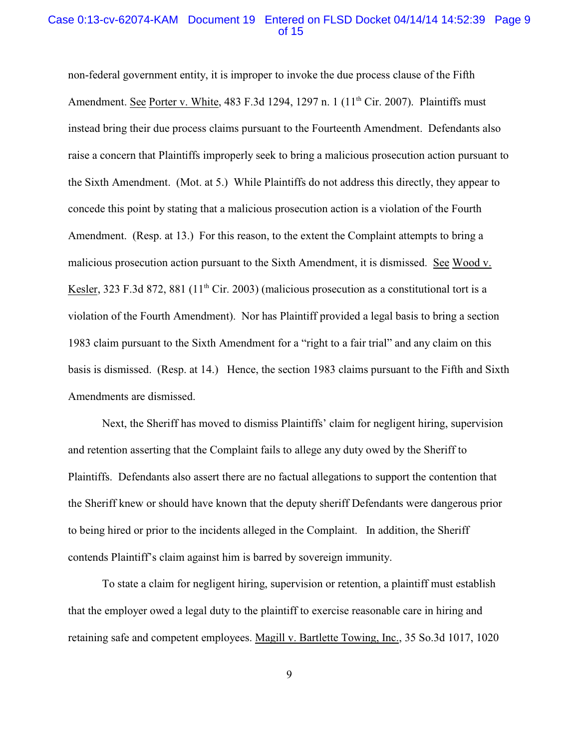# Case 0:13-cv-62074-KAM Document 19 Entered on FLSD Docket 04/14/14 14:52:39 Page 9 of 15

non-federal government entity, it is improper to invoke the due process clause of the Fifth Amendment. See Porter v. White, 483 F.3d 1294, 1297 n. 1 (11<sup>th</sup> Cir. 2007). Plaintiffs must instead bring their due process claims pursuant to the Fourteenth Amendment. Defendants also raise a concern that Plaintiffs improperly seek to bring a malicious prosecution action pursuant to the Sixth Amendment. (Mot. at 5.) While Plaintiffs do not address this directly, they appear to concede this point by stating that a malicious prosecution action is a violation of the Fourth Amendment. (Resp. at 13.) For this reason, to the extent the Complaint attempts to bring a malicious prosecution action pursuant to the Sixth Amendment, it is dismissed. See Wood v. Kesler, 323 F.3d 872, 881 ( $11<sup>th</sup>$  Cir. 2003) (malicious prosecution as a constitutional tort is a violation of the Fourth Amendment). Nor has Plaintiff provided a legal basis to bring a section 1983 claim pursuant to the Sixth Amendment for a "right to a fair trial" and any claim on this basis is dismissed. (Resp. at 14.) Hence, the section 1983 claims pursuant to the Fifth and Sixth Amendments are dismissed.

Next, the Sheriff has moved to dismiss Plaintiffs' claim for negligent hiring, supervision and retention asserting that the Complaint fails to allege any duty owed by the Sheriff to Plaintiffs. Defendants also assert there are no factual allegations to support the contention that the Sheriff knew or should have known that the deputy sheriff Defendants were dangerous prior to being hired or prior to the incidents alleged in the Complaint. In addition, the Sheriff contends Plaintiff's claim against him is barred by sovereign immunity.

To state a claim for negligent hiring, supervision or retention, a plaintiff must establish that the employer owed a legal duty to the plaintiff to exercise reasonable care in hiring and retaining safe and competent employees. Magill v. Bartlette Towing, Inc., 35 So.3d 1017, 1020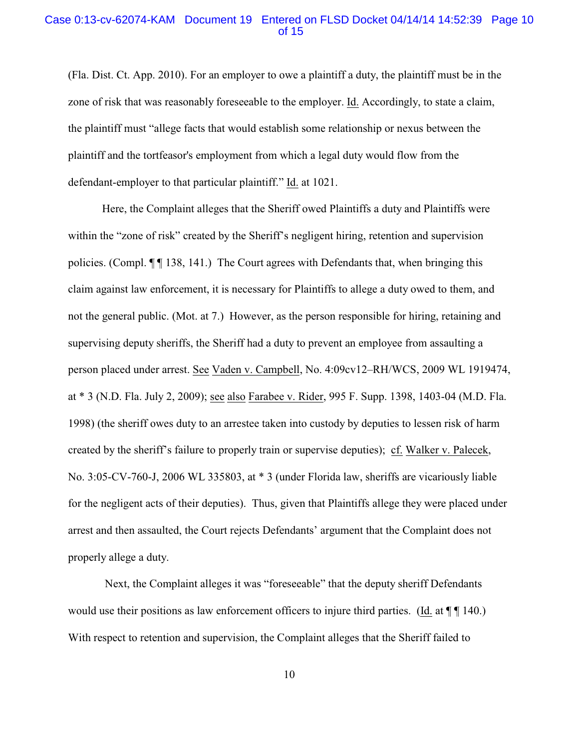## Case 0:13-cv-62074-KAM Document 19 Entered on FLSD Docket 04/14/14 14:52:39 Page 10 of 15

(Fla. Dist. Ct. App. 2010). For an employer to owe a plaintiff a duty, the plaintiff must be in the zone of risk that was reasonably foreseeable to the employer. Id. Accordingly, to state a claim, the plaintiff must "allege facts that would establish some relationship or nexus between the plaintiff and the tortfeasor's employment from which a legal duty would flow from the defendant-employer to that particular plaintiff." Id. at 1021.

Here, the Complaint alleges that the Sheriff owed Plaintiffs a duty and Plaintiffs were within the "zone of risk" created by the Sheriff's negligent hiring, retention and supervision policies. (Compl. ¶ ¶ 138, 141.) The Court agrees with Defendants that, when bringing this claim against law enforcement, it is necessary for Plaintiffs to allege a duty owed to them, and not the general public. (Mot. at 7.) However, as the person responsible for hiring, retaining and supervising deputy sheriffs, the Sheriff had a duty to prevent an employee from assaulting a person placed under arrest. See Vaden v. Campbell, No. 4:09cv12–RH/WCS, 2009 WL 1919474, at \* 3 (N.D. Fla. July 2, 2009); see also Farabee v. Rider, 995 F. Supp. 1398, 1403-04 (M.D. Fla. 1998) (the sheriff owes duty to an arrestee taken into custody by deputies to lessen risk of harm created by the sheriff's failure to properly train or supervise deputies); cf. Walker v. Palecek, No. 3:05-CV-760-J, 2006 WL 335803, at \* 3 (under Florida law, sheriffs are vicariously liable for the negligent acts of their deputies). Thus, given that Plaintiffs allege they were placed under arrest and then assaulted, the Court rejects Defendants' argument that the Complaint does not properly allege a duty.

 Next, the Complaint alleges it was "foreseeable" that the deputy sheriff Defendants would use their positions as law enforcement officers to injure third parties. (Id. at  $\P\P$  140.) With respect to retention and supervision, the Complaint alleges that the Sheriff failed to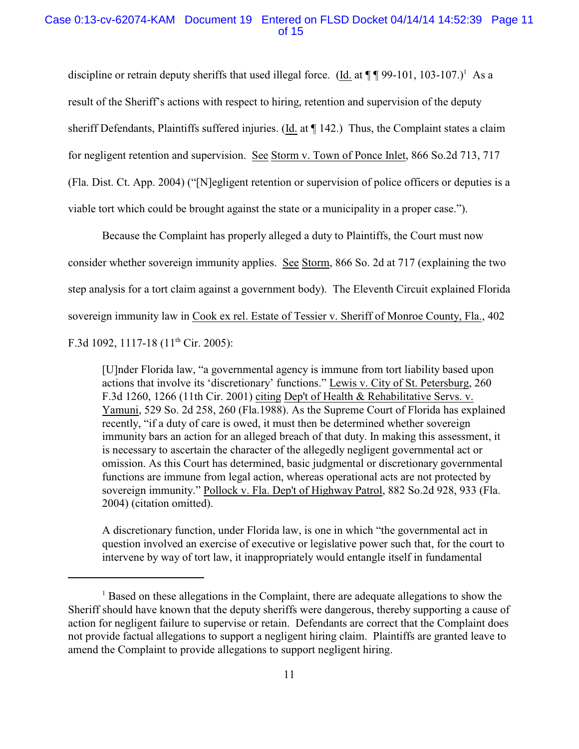# Case 0:13-cv-62074-KAM Document 19 Entered on FLSD Docket 04/14/14 14:52:39 Page 11 of 15

discipline or retrain deputy sheriffs that used illegal force. (Id. at  $\P\P\P 99-101$ , 103-107.)<sup>1</sup> As a result of the Sheriff's actions with respect to hiring, retention and supervision of the deputy sheriff Defendants, Plaintiffs suffered injuries. (Id. at ¶ 142.) Thus, the Complaint states a claim for negligent retention and supervision. See Storm v. Town of Ponce Inlet, 866 So.2d 713, 717 (Fla. Dist. Ct. App. 2004) ("[N]egligent retention or supervision of police officers or deputies is a viable tort which could be brought against the state or a municipality in a proper case.").

Because the Complaint has properly alleged a duty to Plaintiffs, the Court must now consider whether sovereign immunity applies. See Storm, 866 So. 2d at 717 (explaining the two step analysis for a tort claim against a government body). The Eleventh Circuit explained Florida sovereign immunity law in Cook ex rel. Estate of Tessier v. Sheriff of Monroe County, Fla., 402 F.3d 1092, 1117-18 ( $11<sup>th</sup>$  Cir. 2005):

[U]nder Florida law, "a governmental agency is immune from tort liability based upon actions that involve its 'discretionary' functions." Lewis v. City of St. Petersburg, 260 F.3d 1260, 1266 (11th Cir. 2001) citing Dep't of Health & Rehabilitative Servs. v. Yamuni, 529 So. 2d 258, 260 (Fla.1988). As the Supreme Court of Florida has explained recently, "if a duty of care is owed, it must then be determined whether sovereign immunity bars an action for an alleged breach of that duty. In making this assessment, it is necessary to ascertain the character of the allegedly negligent governmental act or omission. As this Court has determined, basic judgmental or discretionary governmental functions are immune from legal action, whereas operational acts are not protected by sovereign immunity." Pollock v. Fla. Dep't of Highway Patrol, 882 So.2d 928, 933 (Fla. 2004) (citation omitted).

A discretionary function, under Florida law, is one in which "the governmental act in question involved an exercise of executive or legislative power such that, for the court to intervene by way of tort law, it inappropriately would entangle itself in fundamental

 $<sup>1</sup>$  Based on these allegations in the Complaint, there are adequate allegations to show the</sup> Sheriff should have known that the deputy sheriffs were dangerous, thereby supporting a cause of action for negligent failure to supervise or retain. Defendants are correct that the Complaint does not provide factual allegations to support a negligent hiring claim. Plaintiffs are granted leave to amend the Complaint to provide allegations to support negligent hiring.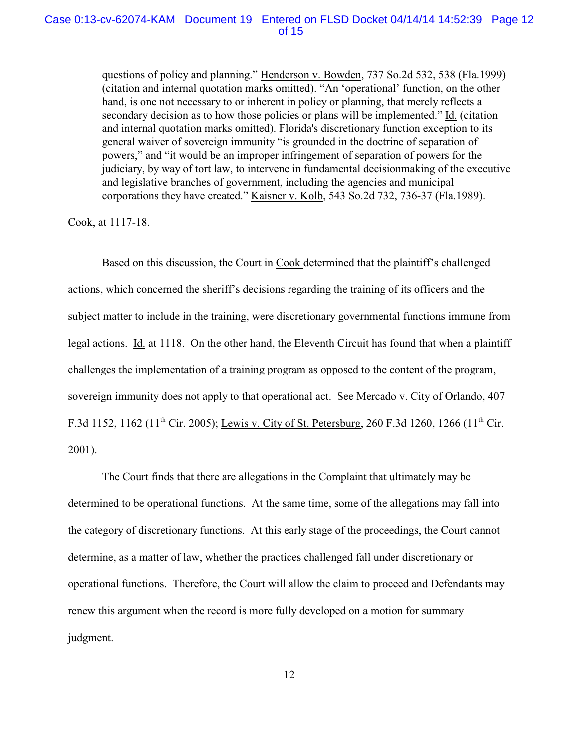#### Case 0:13-cv-62074-KAM Document 19 Entered on FLSD Docket 04/14/14 14:52:39 Page 12 of 15

questions of policy and planning." Henderson v. Bowden, 737 So.2d 532, 538 (Fla.1999) (citation and internal quotation marks omitted). "An 'operational' function, on the other hand, is one not necessary to or inherent in policy or planning, that merely reflects a secondary decision as to how those policies or plans will be implemented." Id. (citation and internal quotation marks omitted). Florida's discretionary function exception to its general waiver of sovereign immunity "is grounded in the doctrine of separation of powers," and "it would be an improper infringement of separation of powers for the judiciary, by way of tort law, to intervene in fundamental decisionmaking of the executive and legislative branches of government, including the agencies and municipal corporations they have created." Kaisner v. Kolb, 543 So.2d 732, 736-37 (Fla.1989).

Cook, at 1117-18.

Based on this discussion, the Court in Cook determined that the plaintiff's challenged actions, which concerned the sheriff's decisions regarding the training of its officers and the subject matter to include in the training, were discretionary governmental functions immune from legal actions. Id. at 1118. On the other hand, the Eleventh Circuit has found that when a plaintiff challenges the implementation of a training program as opposed to the content of the program, sovereign immunity does not apply to that operational act. See Mercado v. City of Orlando, 407 F.3d 1152, 1162 (11<sup>th</sup> Cir. 2005); Lewis v. City of St. Petersburg, 260 F.3d 1260, 1266 (11<sup>th</sup> Cir. 2001).

The Court finds that there are allegations in the Complaint that ultimately may be determined to be operational functions. At the same time, some of the allegations may fall into the category of discretionary functions. At this early stage of the proceedings, the Court cannot determine, as a matter of law, whether the practices challenged fall under discretionary or operational functions. Therefore, the Court will allow the claim to proceed and Defendants may renew this argument when the record is more fully developed on a motion for summary judgment.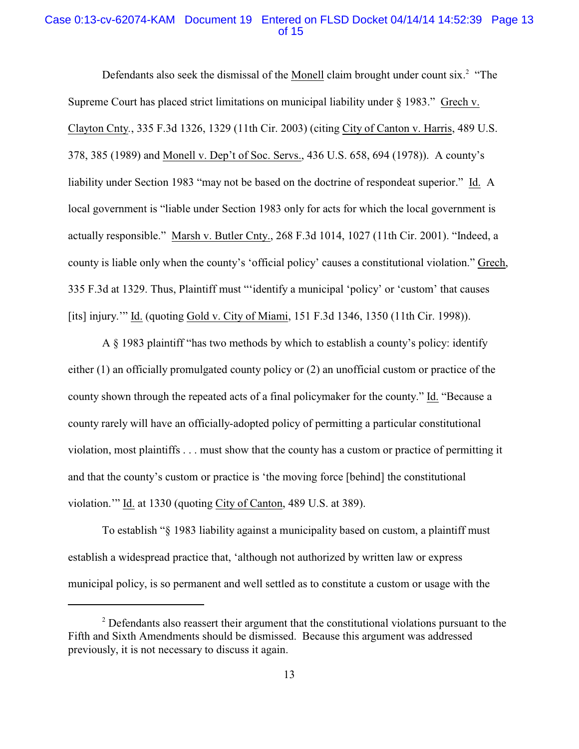# Case 0:13-cv-62074-KAM Document 19 Entered on FLSD Docket 04/14/14 14:52:39 Page 13 of 15

Defendants also seek the dismissal of the Monell claim brought under count  $\text{six}$ . "The Supreme Court has placed strict limitations on municipal liability under § 1983." Grech v. Clayton Cnty*.*, 335 F.3d 1326, 1329 (11th Cir. 2003) (citing City of Canton v. Harris, 489 U.S. 378, 385 (1989) and Monell v. Dep't of Soc. Servs., 436 U.S. 658, 694 (1978)). A county's liability under Section 1983 "may not be based on the doctrine of respondeat superior." Id. A local government is "liable under Section 1983 only for acts for which the local government is actually responsible." Marsh v. Butler Cnty., 268 F.3d 1014, 1027 (11th Cir. 2001). "Indeed, a county is liable only when the county's 'official policy' causes a constitutional violation." Grech, 335 F.3d at 1329. Thus, Plaintiff must "'identify a municipal 'policy' or 'custom' that causes [its] injury.'" Id. (quoting Gold v. City of Miami, 151 F.3d 1346, 1350 (11th Cir. 1998)).

A § 1983 plaintiff "has two methods by which to establish a county's policy: identify either (1) an officially promulgated county policy or (2) an unofficial custom or practice of the county shown through the repeated acts of a final policymaker for the county." Id. "Because a county rarely will have an officially-adopted policy of permitting a particular constitutional violation, most plaintiffs . . . must show that the county has a custom or practice of permitting it and that the county's custom or practice is 'the moving force [behind] the constitutional violation.'" Id. at 1330 (quoting City of Canton, 489 U.S. at 389).

To establish "§ 1983 liability against a municipality based on custom, a plaintiff must establish a widespread practice that, 'although not authorized by written law or express municipal policy, is so permanent and well settled as to constitute a custom or usage with the

<sup>&</sup>lt;sup>2</sup> Defendants also reassert their argument that the constitutional violations pursuant to the Fifth and Sixth Amendments should be dismissed. Because this argument was addressed previously, it is not necessary to discuss it again.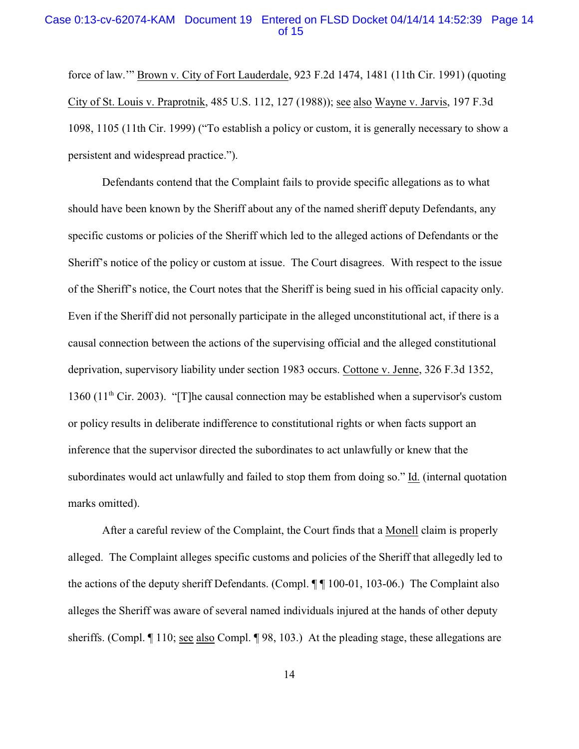# Case 0:13-cv-62074-KAM Document 19 Entered on FLSD Docket 04/14/14 14:52:39 Page 14 of 15

force of law.'" Brown v. City of Fort Lauderdale, 923 F.2d 1474, 1481 (11th Cir. 1991) (quoting City of St. Louis v. Praprotnik, 485 U.S. 112, 127 (1988)); see also Wayne v. Jarvis, 197 F.3d 1098, 1105 (11th Cir. 1999) ("To establish a policy or custom, it is generally necessary to show a persistent and widespread practice.").

Defendants contend that the Complaint fails to provide specific allegations as to what should have been known by the Sheriff about any of the named sheriff deputy Defendants, any specific customs or policies of the Sheriff which led to the alleged actions of Defendants or the Sheriff's notice of the policy or custom at issue. The Court disagrees. With respect to the issue of the Sheriff's notice, the Court notes that the Sheriff is being sued in his official capacity only. Even if the Sheriff did not personally participate in the alleged unconstitutional act, if there is a causal connection between the actions of the supervising official and the alleged constitutional deprivation, supervisory liability under section 1983 occurs. Cottone v. Jenne, 326 F.3d 1352, 1360 (11<sup>th</sup> Cir. 2003). "[T]he causal connection may be established when a supervisor's custom or policy results in deliberate indifference to constitutional rights or when facts support an inference that the supervisor directed the subordinates to act unlawfully or knew that the subordinates would act unlawfully and failed to stop them from doing so." Id. (internal quotation marks omitted).

After a careful review of the Complaint, the Court finds that a Monell claim is properly alleged. The Complaint alleges specific customs and policies of the Sheriff that allegedly led to the actions of the deputy sheriff Defendants. (Compl. ¶ ¶ 100-01, 103-06.) The Complaint also alleges the Sheriff was aware of several named individuals injured at the hands of other deputy sheriffs. (Compl. ¶ 110; see also Compl. ¶ 98, 103.) At the pleading stage, these allegations are